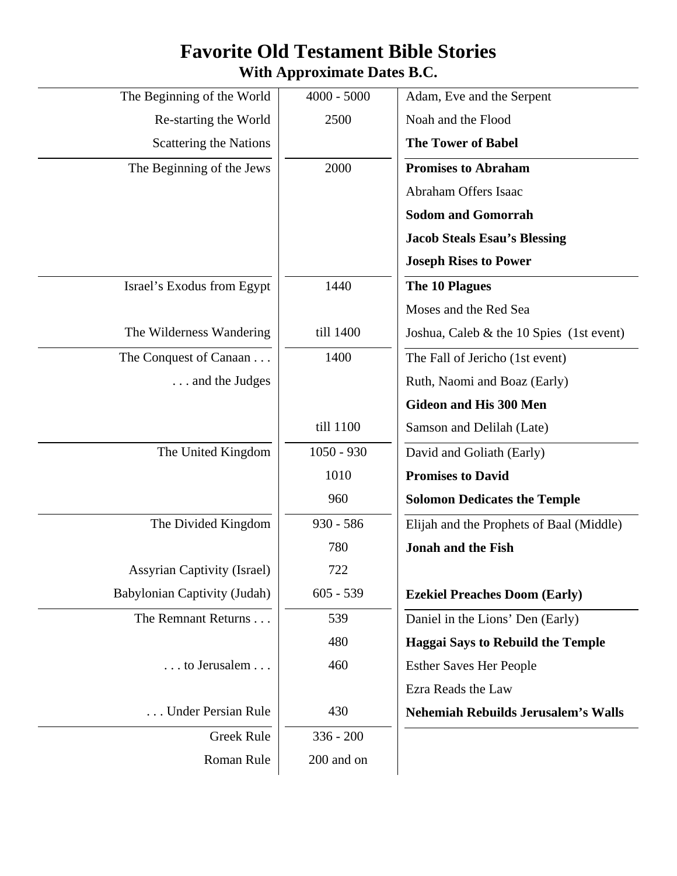## **Favorite Old Testament Bible Stories With Approximate Dates B.C.**

| $4000 - 5000$ | Adam, Eve and the Serpent                  |
|---------------|--------------------------------------------|
| 2500          | Noah and the Flood                         |
|               | <b>The Tower of Babel</b>                  |
| 2000          | <b>Promises to Abraham</b>                 |
|               | Abraham Offers Isaac                       |
|               | <b>Sodom and Gomorrah</b>                  |
|               | <b>Jacob Steals Esau's Blessing</b>        |
|               | <b>Joseph Rises to Power</b>               |
| 1440          | The 10 Plagues                             |
|               | Moses and the Red Sea                      |
| till 1400     | Joshua, Caleb $&$ the 10 Spies (1st event) |
| 1400          | The Fall of Jericho (1st event)            |
|               | Ruth, Naomi and Boaz (Early)               |
|               | <b>Gideon and His 300 Men</b>              |
| till 1100     | Samson and Delilah (Late)                  |
| $1050 - 930$  | David and Goliath (Early)                  |
| 1010          | <b>Promises to David</b>                   |
| 960           | <b>Solomon Dedicates the Temple</b>        |
| $930 - 586$   | Elijah and the Prophets of Baal (Middle)   |
| 780           | <b>Jonah and the Fish</b>                  |
| 722           |                                            |
| $605 - 539$   | <b>Ezekiel Preaches Doom (Early)</b>       |
| 539           | Daniel in the Lions' Den (Early)           |
| 480           | <b>Haggai Says to Rebuild the Temple</b>   |
| 460           | <b>Esther Saves Her People</b>             |
|               | Ezra Reads the Law                         |
| 430           | <b>Nehemiah Rebuilds Jerusalem's Walls</b> |
| $336 - 200$   |                                            |
| 200 and on    |                                            |
|               |                                            |